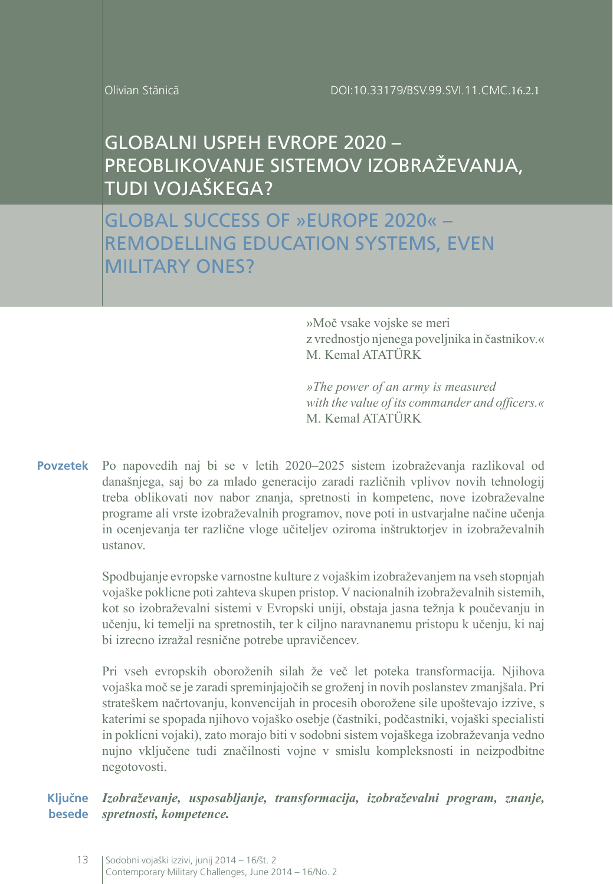Olivian Stănică

# GLOBALNI USPEH EVROPE 2020 – PREOBLIKOVANJE SISTEMOV IZOBRAŽEVANJA, TUDI VOJAŠKEGA?

GLOBAL SUCCESS OF »EUROPE 2020« – REMODELLING EDUCATION SYSTEMS, EVEN MILITARY ONES?

> »Moč vsake vojske se meri z vrednostjo njenega poveljnika in častnikov.« M. Kemal ATATÜRK

> *»The power of an army is measured with the value of its commander and officers.«* M. Kemal ATATÜRK

**Povzetek** Po napovedih naj bi se v letih 2020–2025 sistem izobraževanja razlikoval od današnjega, saj bo za mlado generacijo zaradi različnih vplivov novih tehnologij treba oblikovati nov nabor znanja, spretnosti in kompetenc, nove izobraževalne programe ali vrste izobraževalnih programov, nove poti in ustvarjalne načine učenja in ocenjevanja ter različne vloge učiteljev oziroma inštruktorjev in izobraževalnih ustanov.

> Spodbujanje evropske varnostne kulture z vojaškim izobraževanjem na vseh stopnjah vojaške poklicne poti zahteva skupen pristop. V nacionalnih izobraževalnih sistemih, kot so izobraževalni sistemi v Evropski uniji, obstaja jasna težnja k poučevanju in učenju, ki temelji na spretnostih, ter k ciljno naravnanemu pristopu k učenju, ki naj bi izrecno izražal resnične potrebe upravičencev.

> Pri vseh evropskih oboroženih silah že več let poteka transformacija. Njihova vojaška moč se je zaradi spreminjajočih se groženj in novih poslanstev zmanjšala. Pri strateškem načrtovanju, konvencijah in procesih oborožene sile upoštevajo izzive, s katerimi se spopada njihovo vojaško osebje (častniki, podčastniki, vojaški specialisti in poklicni vojaki), zato morajo biti v sodobni sistem vojaškega izobraževanja vedno nujno vključene tudi značilnosti vojne v smislu kompleksnosti in neizpodbitne negotovosti.

*Izobraževanje, usposabljanje, transformacija, izobraževalni program, znanje, spretnosti, kompetence.* **Ključne besede**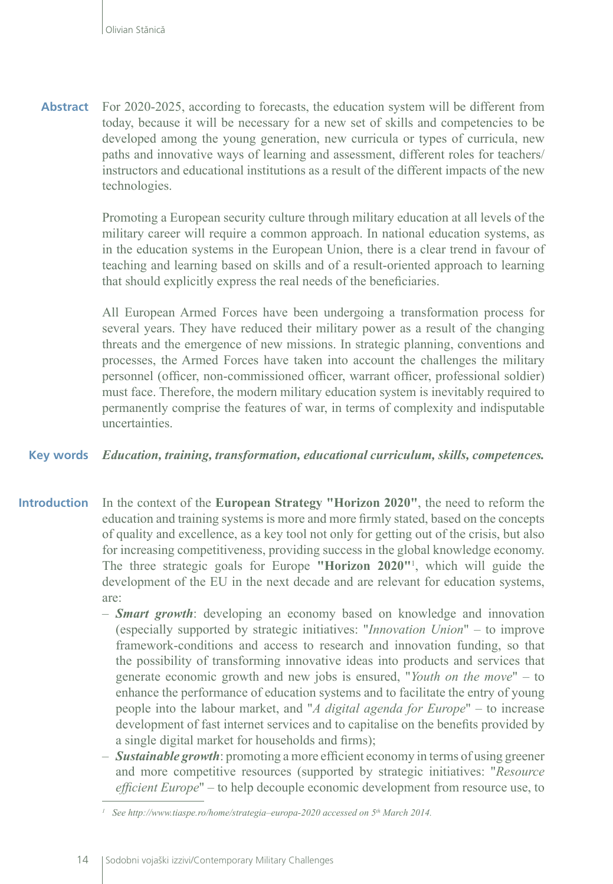**Abstract** For 2020-2025, according to forecasts, the education system will be different from today, because it will be necessary for a new set of skills and competencies to be developed among the young generation, new curricula or types of curricula, new paths and innovative ways of learning and assessment, different roles for teachers/ instructors and educational institutions as a result of the different impacts of the new technologies.

> Promoting a European security culture through military education at all levels of the military career will require a common approach. In national education systems, as in the education systems in the European Union, there is a clear trend in favour of teaching and learning based on skills and of a result-oriented approach to learning that should explicitly express the real needs of the beneficiaries.

> All European Armed Forces have been undergoing a transformation process for several years. They have reduced their military power as a result of the changing threats and the emergence of new missions. In strategic planning, conventions and processes, the Armed Forces have taken into account the challenges the military personnel (officer, non-commissioned officer, warrant officer, professional soldier) must face. Therefore, the modern military education system is inevitably required to permanently comprise the features of war, in terms of complexity and indisputable uncertainties.

#### **Key words** *Education, training, transformation, educational curriculum, skills, competences.*

- **Introduction** In the context of the **European Strategy "Horizon 2020"**, the need to reform the education and training systems is more and more firmly stated, based on the concepts of quality and excellence, as a key tool not only for getting out of the crisis, but also for increasing competitiveness, providing success in the global knowledge economy. The three strategic goals for Europe **"Horizon 2020"**<sup>1</sup> , which will guide the development of the EU in the next decade and are relevant for education systems, are:
	- *Smart growth*: developing an economy based on knowledge and innovation (especially supported by strategic initiatives: "*Innovation Union*" – to improve framework-conditions and access to research and innovation funding, so that the possibility of transforming innovative ideas into products and services that generate economic growth and new jobs is ensured, "*Youth on the move*" – to enhance the performance of education systems and to facilitate the entry of young people into the labour market, and "*A digital agenda for Europe*" – to increase development of fast internet services and to capitalise on the benefits provided by a single digital market for households and firms);
	- *Sustainable growth*: promoting a more efficient economy in terms of using greener and more competitive resources (supported by strategic initiatives: "*Resource efficient Europe*" – to help decouple economic development from resource use, to

*<sup>1</sup> See http://www.tiaspe.ro/home/strategia–europa-2020 accessed on 5th March 2014.*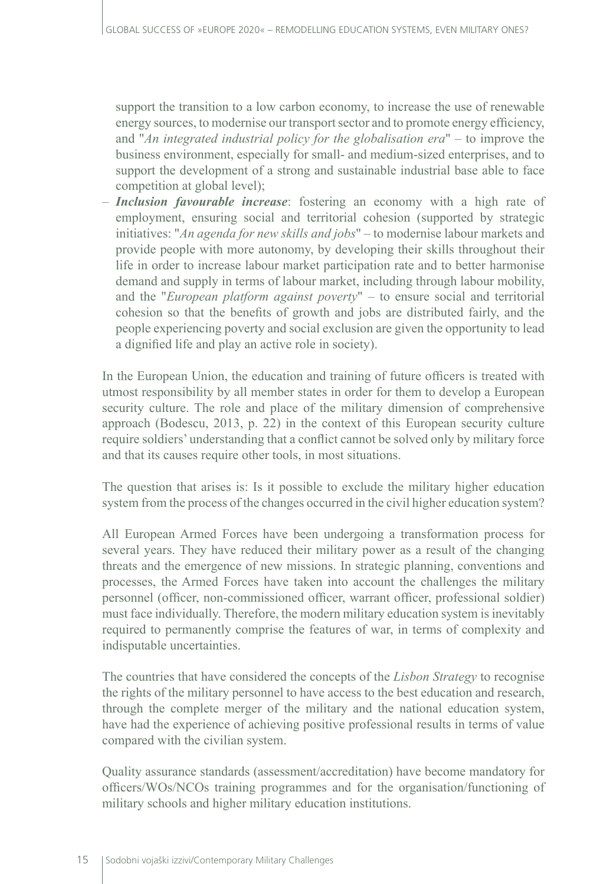support the transition to a low carbon economy, to increase the use of renewable energy sources, to modernise our transport sector and to promote energy efficiency, and "*An integrated industrial policy for the globalisation era*" – to improve the business environment, especially for small- and medium-sized enterprises, and to support the development of a strong and sustainable industrial base able to face competition at global level);

– *Inclusion favourable increase*: fostering an economy with a high rate of employment, ensuring social and territorial cohesion (supported by strategic initiatives: "*An agenda for new skills and jobs*" – to modernise labour markets and provide people with more autonomy, by developing their skills throughout their life in order to increase labour market participation rate and to better harmonise demand and supply in terms of labour market, including through labour mobility, and the "*European platform against poverty*" – to ensure social and territorial cohesion so that the benefits of growth and jobs are distributed fairly, and the people experiencing poverty and social exclusion are given the opportunity to lead a dignified life and play an active role in society).

In the European Union, the education and training of future officers is treated with utmost responsibility by all member states in order for them to develop a European security culture. The role and place of the military dimension of comprehensive approach (Bodescu, 2013, p. 22) in the context of this European security culture require soldiers' understanding that a conflict cannot be solved only by military force and that its causes require other tools, in most situations.

The question that arises is: Is it possible to exclude the military higher education system from the process of the changes occurred in the civil higher education system?

All European Armed Forces have been undergoing a transformation process for several years. They have reduced their military power as a result of the changing threats and the emergence of new missions. In strategic planning, conventions and processes, the Armed Forces have taken into account the challenges the military personnel (officer, non-commissioned officer, warrant officer, professional soldier) must face individually. Therefore, the modern military education system is inevitably required to permanently comprise the features of war, in terms of complexity and indisputable uncertainties.

The countries that have considered the concepts of the *Lisbon Strategy* to recognise the rights of the military personnel to have access to the best education and research, through the complete merger of the military and the national education system, have had the experience of achieving positive professional results in terms of value compared with the civilian system.

Quality assurance standards (assessment/accreditation) have become mandatory for officers/WOs/NCOs training programmes and for the organisation/functioning of military schools and higher military education institutions.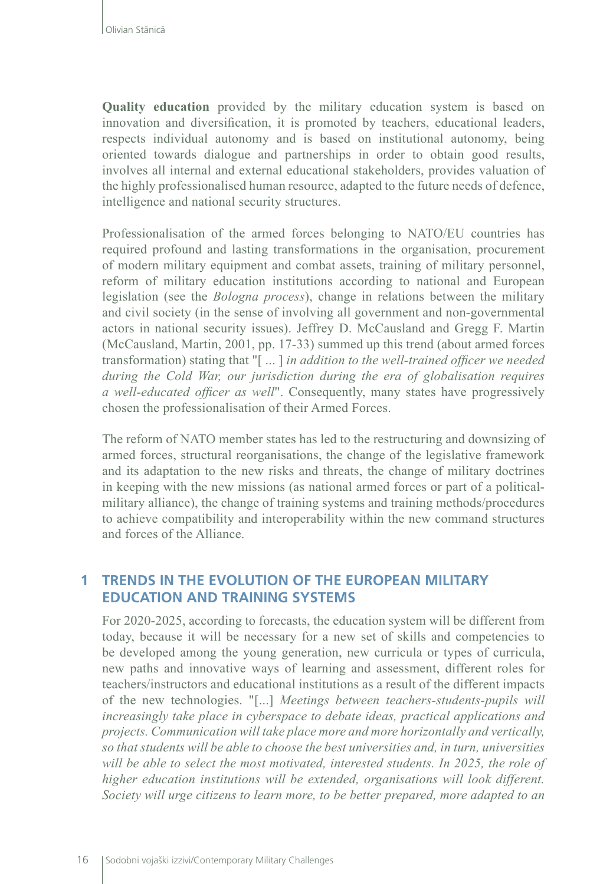**Quality education** provided by the military education system is based on innovation and diversification, it is promoted by teachers, educational leaders, respects individual autonomy and is based on institutional autonomy, being oriented towards dialogue and partnerships in order to obtain good results, involves all internal and external educational stakeholders, provides valuation of the highly professionalised human resource, adapted to the future needs of defence, intelligence and national security structures.

Professionalisation of the armed forces belonging to NATO/EU countries has required profound and lasting transformations in the organisation, procurement of modern military equipment and combat assets, training of military personnel, reform of military education institutions according to national and European legislation (see the *Bologna process*), change in relations between the military and civil society (in the sense of involving all government and non-governmental actors in national security issues). Jeffrey D. McCausland and Gregg F. Martin (McCausland, Martin, 2001, pp. 17-33) summed up this trend (about armed forces transformation) stating that "[ ... ] *in addition to the well-trained officer we needed during the Cold War, our jurisdiction during the era of globalisation requires a well-educated officer as well*". Consequently, many states have progressively chosen the professionalisation of their Armed Forces.

The reform of NATO member states has led to the restructuring and downsizing of armed forces, structural reorganisations, the change of the legislative framework and its adaptation to the new risks and threats, the change of military doctrines in keeping with the new missions (as national armed forces or part of a politicalmilitary alliance), the change of training systems and training methods/procedures to achieve compatibility and interoperability within the new command structures and forces of the Alliance.

### **1 TRENDS IN THE EVOLUTION OF THE EUROPEAN MILITARY EDUCATION AND TRAINING SYSTEMS**

For 2020-2025, according to forecasts, the education system will be different from today, because it will be necessary for a new set of skills and competencies to be developed among the young generation, new curricula or types of curricula, new paths and innovative ways of learning and assessment, different roles for teachers/instructors and educational institutions as a result of the different impacts of the new technologies. "[...] *Meetings between teachers-students-pupils will increasingly take place in cyberspace to debate ideas, practical applications and projects. Communication will take place more and more horizontally and vertically, so that students will be able to choose the best universities and, in turn, universities will be able to select the most motivated, interested students. In 2025, the role of higher education institutions will be extended, organisations will look different. Society will urge citizens to learn more, to be better prepared, more adapted to an*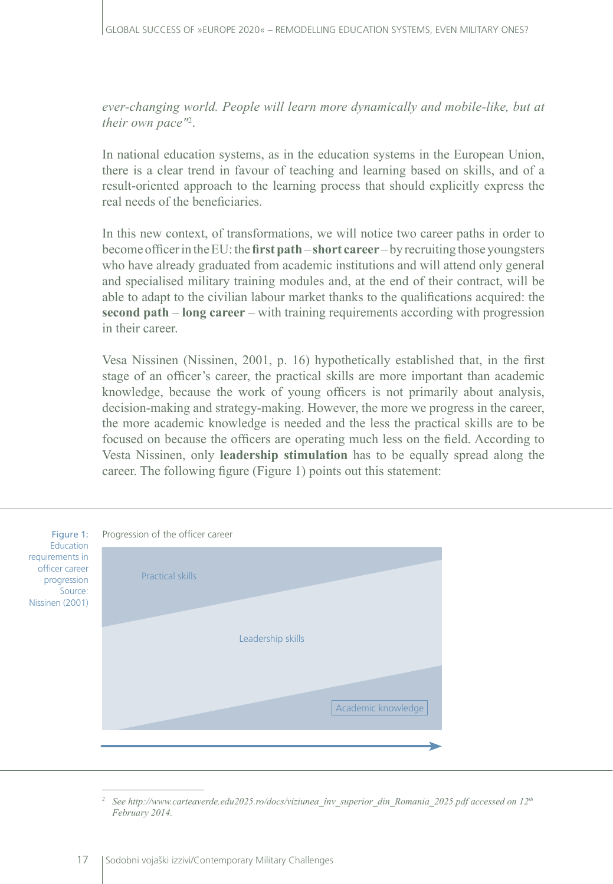ever-changing world. People will learn more dynamically and mobile-like, but at *their own pace"*<sup>2</sup> .

In national education systems, as in the education systems in the European Union, there is a clear trend in favour of teaching and learning based on skills, and of a result-oriented approach to the learning process that should explicitly express the real needs of the beneficiaries.

In this new context, of transformations, we will notice two career paths in order to become officer in the EU: the **first path**– **short career** – by recruiting those youngsters who have already graduated from academic institutions and will attend only general and specialised military training modules and, at the end of their contract, will be able to adapt to the civilian labour market thanks to the qualifications acquired: the **second path** – **long career** – with training requirements according with progression in their career.

Vesa Nissinen (Nissinen, 2001, p. 16) hypothetically established that, in the first stage of an officer's career, the practical skills are more important than academic knowledge, because the work of young officers is not primarily about analysis, decision-making and strategy-making. However, the more we progress in the career, the more academic knowledge is needed and the less the practical skills are to be focused on because the officers are operating much less on the field. According to Vesta Nissinen, only **leadership stimulation** has to be equally spread along the career. The following figure (Figure 1) points out this statement:

| Figure 1:<br>Education<br>requirements in<br>officer career<br>progression<br>Source:<br>Nissinen (2001) | Progression of the officer career |  |
|----------------------------------------------------------------------------------------------------------|-----------------------------------|--|
|                                                                                                          | <b>Practical skills</b>           |  |
|                                                                                                          | Leadership skills                 |  |
|                                                                                                          | Academic knowledge                |  |
|                                                                                                          |                                   |  |

*<sup>2</sup> See http://www.carteaverde.edu2025.ro/docs/viziunea\_înv\_superior\_din\_Romania\_2025.pdf accessed on 12th February 2014.*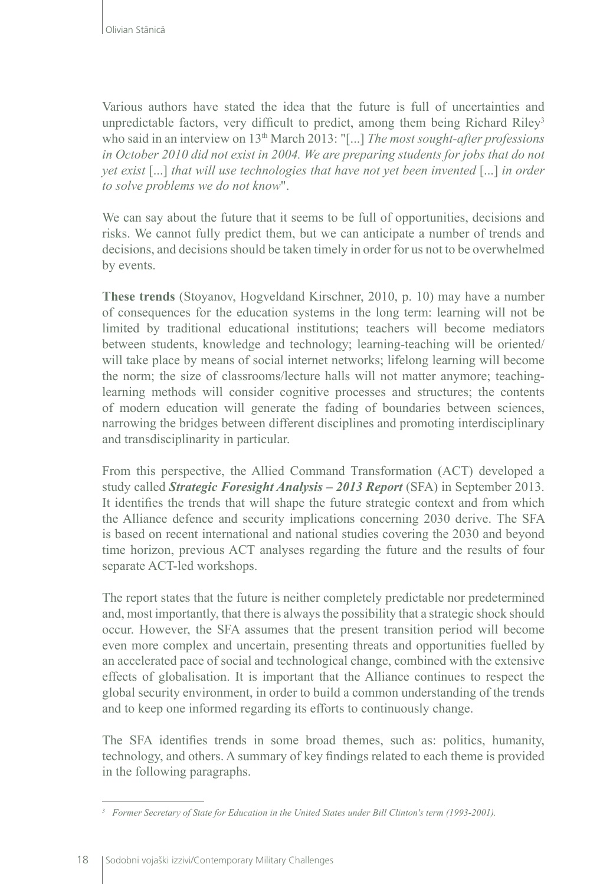Various authors have stated the idea that the future is full of uncertainties and unpredictable factors, very difficult to predict, among them being Richard Riley<sup>3</sup> who said in an interview on 13th March 2013: "[...] *The most sought-after professions in October 2010 did not exist in 2004. We are preparing students for jobs that do not yet exist* [...] *that will use technologies that have not yet been invented* [...] *in order to solve problems we do not know*".

We can say about the future that it seems to be full of opportunities, decisions and risks. We cannot fully predict them, but we can anticipate a number of trends and decisions, and decisions should be taken timely in order for us not to be overwhelmed by events.

**These trends** (Stoyanov, Hogveldand Kirschner, 2010, p. 10) may have a number of consequences for the education systems in the long term: learning will not be limited by traditional educational institutions; teachers will become mediators between students, knowledge and technology; learning-teaching will be oriented/ will take place by means of social internet networks; lifelong learning will become the norm; the size of classrooms/lecture halls will not matter anymore; teachinglearning methods will consider cognitive processes and structures; the contents of modern education will generate the fading of boundaries between sciences, narrowing the bridges between different disciplines and promoting interdisciplinary and transdisciplinarity in particular.

From this perspective, the Allied Command Transformation (ACT) developed a study called *Strategic Foresight Analysis – 2013 Report* (SFA) in September 2013. It identifies the trends that will shape the future strategic context and from which the Alliance defence and security implications concerning 2030 derive. The SFA is based on recent international and national studies covering the 2030 and beyond time horizon, previous ACT analyses regarding the future and the results of four separate ACT-led workshops.

The report states that the future is neither completely predictable nor predetermined and, most importantly, that there is always the possibility that a strategic shock should occur. However, the SFA assumes that the present transition period will become even more complex and uncertain, presenting threats and opportunities fuelled by an accelerated pace of social and technological change, combined with the extensive effects of globalisation. It is important that the Alliance continues to respect the global security environment, in order to build a common understanding of the trends and to keep one informed regarding its efforts to continuously change.

The SFA identifies trends in some broad themes, such as: politics, humanity, technology, and others. A summary of key findings related to each theme is provided in the following paragraphs.

*<sup>3</sup> Former Secretary of State for Education in the United States under Bill Clinton's term (1993-2001).*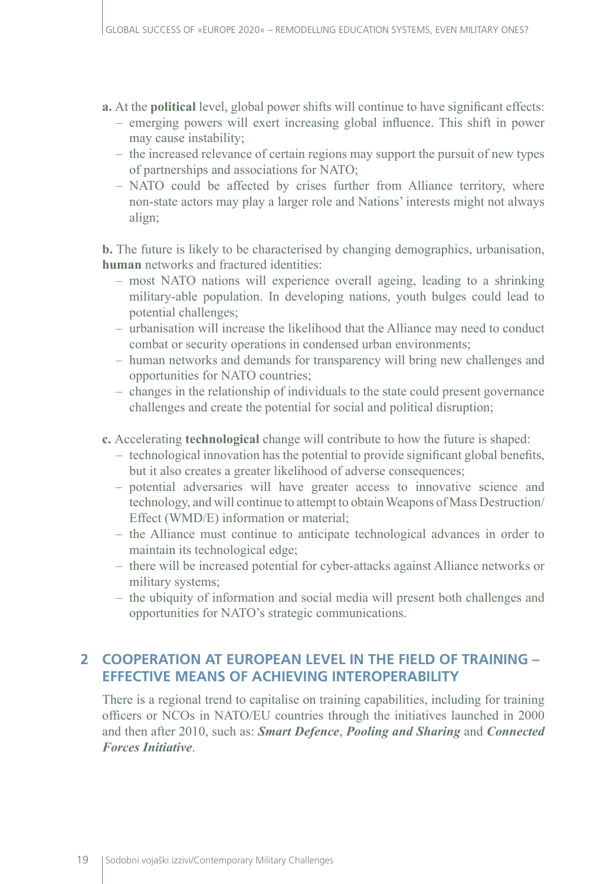- **a.** At the **political** level, global power shifts will continue to have significant effects:
	- emerging powers will exert increasing global influence. This shift in power may cause instability;
	- the increased relevance of certain regions may support the pursuit of new types of partnerships and associations for NATO;
	- NATO could be affected by crises further from Alliance territory, where non-state actors may play a larger role and Nations' interests might not always align;

**b.** The future is likely to be characterised by changing demographics, urbanisation, **human** networks and fractured identities:

- most NATO nations will experience overall ageing, leading to a shrinking military-able population. In developing nations, youth bulges could lead to potential challenges;
- urbanisation will increase the likelihood that the Alliance may need to conduct combat or security operations in condensed urban environments;
- human networks and demands for transparency will bring new challenges and opportunities for NATO countries;
- changes in the relationship of individuals to the state could present governance challenges and create the potential for social and political disruption;
- **c.** Accelerating **technological** change will contribute to how the future is shaped:
	- technological innovation has the potential to provide significant global benefits, but it also creates a greater likelihood of adverse consequences;
	- potential adversaries will have greater access to innovative science and technology, and will continue to attempt to obtain Weapons of Mass Destruction/ Effect (WMD/E) information or material;
	- the Alliance must continue to anticipate technological advances in order to maintain its technological edge;
	- there will be increased potential for cyber-attacks against Alliance networks or military systems;
	- the ubiquity of information and social media will present both challenges and opportunities for NATO's strategic communications.

## **2 COOPERATION AT EUROPEAN LEVEL IN THE FIELD OF TRAINING – EFFECTIVE MEANS OF ACHIEVING INTEROPERABILITY**

There is a regional trend to capitalise on training capabilities, including for training officers or NCOs in NATO/EU countries through the initiatives launched in 2000 and then after 2010, such as: *Smart Defence*, *Pooling and Sharing* and *Connected Forces Initiative*.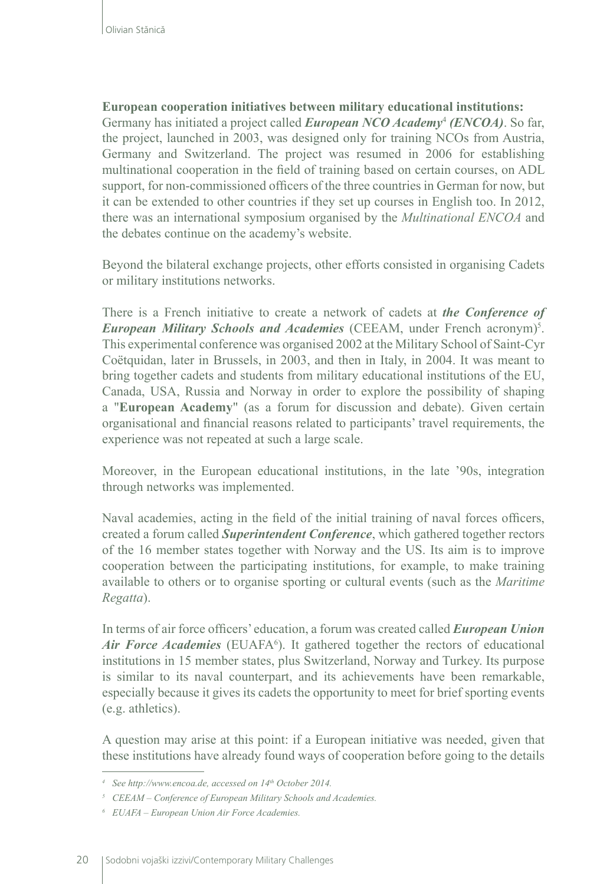### **European cooperation initiatives between military educational institutions:**

Germany has initiated a project called *European NCO Academy*<sup>4</sup>  *(ENCOA)*. So far, the project, launched in 2003, was designed only for training NCOs from Austria, Germany and Switzerland. The project was resumed in 2006 for establishing multinational cooperation in the field of training based on certain courses, on ADL support, for non-commissioned officers of the three countries in German for now, but it can be extended to other countries if they set up courses in English too. In 2012, there was an international symposium organised by the *Multinational ENCOA* and the debates continue on the academy's website.

Beyond the bilateral exchange projects, other efforts consisted in organising Cadets or military institutions networks.

There is a French initiative to create a network of cadets at *the Conference of*  **European Military Schools and Academies** (CEEAM, under French acronym)<sup>5</sup>. This experimental conference was organised 2002 at the Military School of Saint-Cyr Coëtquidan, later in Brussels, in 2003, and then in Italy, in 2004. It was meant to bring together cadets and students from military educational institutions of the EU, Canada, USA, Russia and Norway in order to explore the possibility of shaping a "**European Academy**" (as a forum for discussion and debate). Given certain organisational and financial reasons related to participants' travel requirements, the experience was not repeated at such a large scale.

Moreover, in the European educational institutions, in the late '90s, integration through networks was implemented.

Naval academies, acting in the field of the initial training of naval forces officers, created a forum called *Superintendent Conference*, which gathered together rectors of the 16 member states together with Norway and the US. Its aim is to improve cooperation between the participating institutions, for example, to make training available to others or to organise sporting or cultural events (such as the *Maritime Regatta*).

In terms of air force officers' education, a forum was created called *European Union*  Air Force Academies (EUAFA<sup>6</sup>). It gathered together the rectors of educational institutions in 15 member states, plus Switzerland, Norway and Turkey. Its purpose is similar to its naval counterpart, and its achievements have been remarkable, especially because it gives its cadets the opportunity to meet for brief sporting events (e.g. athletics).

A question may arise at this point: if a European initiative was needed, given that these institutions have already found ways of cooperation before going to the details

*<sup>4</sup> See http://www.encoa.de, accessed on 14th October 2014.*

*<sup>5</sup> CEEAM – Conference of European Military Schools and Academies.*

*<sup>6</sup> EUAFA – European Union Air Force Academies.*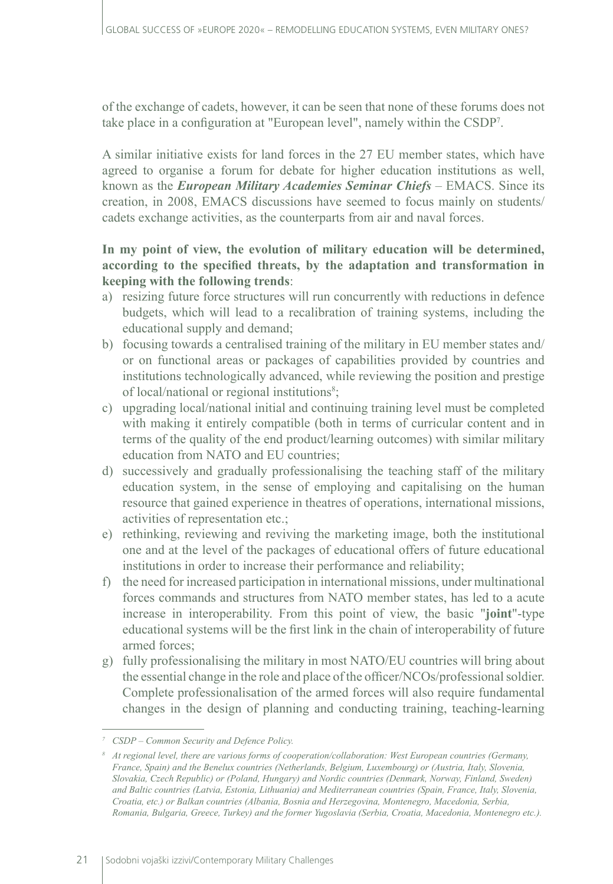of the exchange of cadets, however, it can be seen that none of these forums does not take place in a configuration at "European level", namely within the CSDP7 .

A similar initiative exists for land forces in the 27 EU member states, which have agreed to organise a forum for debate for higher education institutions as well, known as the *European Military Academies Seminar Chiefs* – EMACS. Since its creation, in 2008, EMACS discussions have seemed to focus mainly on students/ cadets exchange activities, as the counterparts from air and naval forces.

### **In my point of view, the evolution of military education will be determined, according to the specified threats, by the adaptation and transformation in keeping with the following trends**:

- a) resizing future force structures will run concurrently with reductions in defence budgets, which will lead to a recalibration of training systems, including the educational supply and demand;
- b) focusing towards a centralised training of the military in EU member states and/ or on functional areas or packages of capabilities provided by countries and institutions technologically advanced, while reviewing the position and prestige of local/national or regional institutions<sup>8</sup>;
- c) upgrading local/national initial and continuing training level must be completed with making it entirely compatible (both in terms of curricular content and in terms of the quality of the end product/learning outcomes) with similar military education from NATO and EU countries;
- d) successively and gradually professionalising the teaching staff of the military education system, in the sense of employing and capitalising on the human resource that gained experience in theatres of operations, international missions, activities of representation etc.;
- e) rethinking, reviewing and reviving the marketing image, both the institutional one and at the level of the packages of educational offers of future educational institutions in order to increase their performance and reliability;
- f) the need for increased participation in international missions, under multinational forces commands and structures from NATO member states, has led to a acute increase in interoperability. From this point of view, the basic "**joint**"-type educational systems will be the first link in the chain of interoperability of future armed forces;
- g) fully professionalising the military in most NATO/EU countries will bring about the essential change in the role and place of the officer/NCOs/professional soldier. Complete professionalisation of the armed forces will also require fundamental changes in the design of planning and conducting training, teaching-learning

*<sup>7</sup> CSDP – Common Security and Defence Policy.*

*<sup>8</sup> At regional level, there are various forms of cooperation/collaboration: West European countries (Germany, France, Spain) and the Benelux countries (Netherlands, Belgium, Luxembourg) or (Austria, Italy, Slovenia, Slovakia, Czech Republic) or (Poland, Hungary) and Nordic countries (Denmark, Norway, Finland, Sweden) and Baltic countries (Latvia, Estonia, Lithuania) and Mediterranean countries (Spain, France, Italy, Slovenia, Croatia, etc.) or Balkan countries (Albania, Bosnia and Herzegovina, Montenegro, Macedonia, Serbia, Romania, Bulgaria, Greece, Turkey) and the former Yugoslavia (Serbia, Croatia, Macedonia, Montenegro etc.).*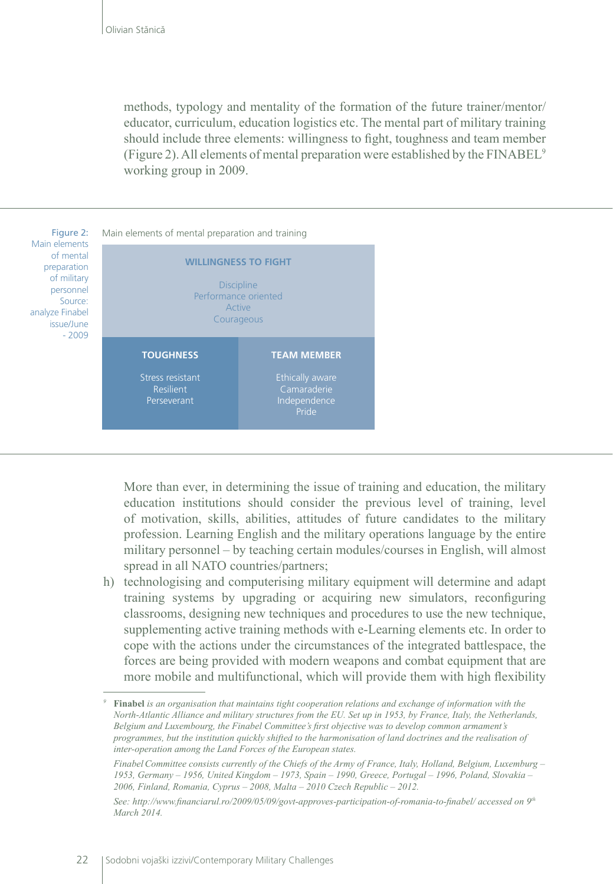methods, typology and mentality of the formation of the future trainer/mentor/ educator, curriculum, education logistics etc. The mental part of military training should include three elements: willingness to fight, toughness and team member (Figure 2). All elements of mental preparation were established by the FINABEL9 working group in 2009.



More than ever, in determining the issue of training and education, the military education institutions should consider the previous level of training, level of motivation, skills, abilities, attitudes of future candidates to the military profession. Learning English and the military operations language by the entire military personnel – by teaching certain modules/courses in English, will almost spread in all NATO countries/partners;

h) technologising and computerising military equipment will determine and adapt training systems by upgrading or acquiring new simulators, reconfiguring classrooms, designing new techniques and procedures to use the new technique, supplementing active training methods with e-Learning elements etc. In order to cope with the actions under the circumstances of the integrated battlespace, the forces are being provided with modern weapons and combat equipment that are more mobile and multifunctional, which will provide them with high flexibility

*<sup>9</sup>* **Finabel** *is an organisation that maintains tight cooperation relations and exchange of information with the North-Atlantic Alliance and military structures from the EU. Set up in 1953, by France, Italy, the Netherlands, Belgium and Luxembourg, the Finabel Committee's first objective was to develop common armament's programmes, but the institution quickly shifted to the harmonisation of land doctrines and the realisation of inter-operation among the Land Forces of the European states.*

*FinabelCommittee consists currently of the Chiefs of the Army of France, Italy, Holland, Belgium, Luxemburg – 1953, Germany – 1956, United Kingdom – 1973, Spain – 1990, Greece, Portugal – 1996, Poland, Slovakia – 2006, Finland, Romania, Cyprus – 2008, Malta – 2010 Czech Republic – 2012.* 

*See: http://www.financiarul.ro/2009/05/09/govt-approves-participation-of-romania-to-finabel/ accessed on 9th March 2014.*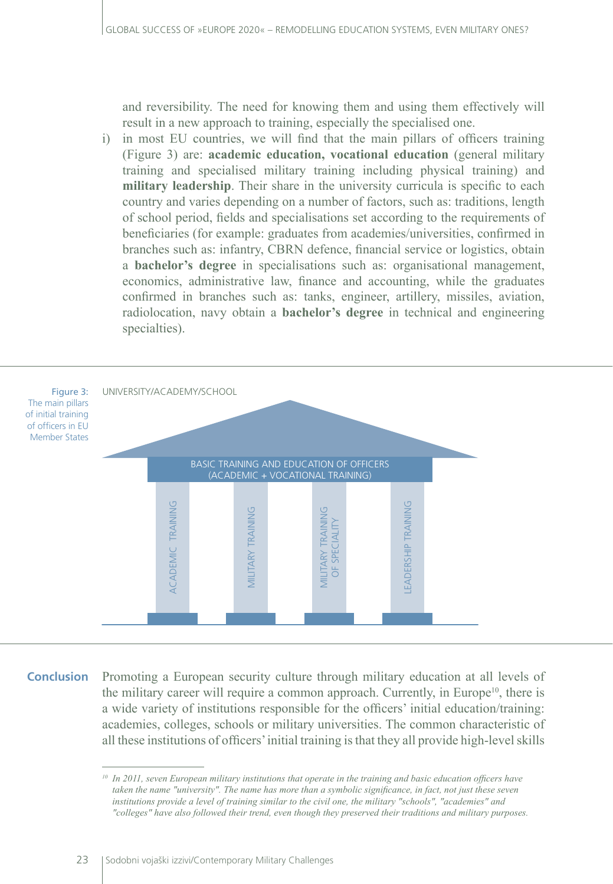and reversibility. The need for knowing them and using them effectively will result in a new approach to training, especially the specialised one.

i) in most EU countries, we will find that the main pillars of officers training (Figure 3) are: **academic education, vocational education** (general military training and specialised military training including physical training) and **military leadership**. Their share in the university curricula is specific to each country and varies depending on a number of factors, such as: traditions, length of school period, fields and specialisations set according to the requirements of beneficiaries (for example: graduates from academies/universities, confirmed in branches such as: infantry, CBRN defence, financial service or logistics, obtain a **bachelor's degree** in specialisations such as: organisational management, economics, administrative law, finance and accounting, while the graduates confirmed in branches such as: tanks, engineer, artillery, missiles, aviation, radiolocation, navy obtain a **bachelor's degree** in technical and engineering specialties).



Promoting a European security culture through military education at all levels of the military career will require a common approach. Currently, in Europe<sup>10</sup>, there is a wide variety of institutions responsible for the officers' initial education/training: academies, colleges, schools or military universities. The common characteristic of all these institutions of officers' initial training is that they all provide high-level skills **Conclusion**

*<sup>10</sup> In 2011, seven European military institutions that operate in the training and basic education officers have taken the name "university". The name has more than a symbolic significance, in fact, not just these seven institutions provide a level of training similar to the civil one, the military "schools", "academies" and "colleges" have also followed their trend, even though they preserved their traditions and military purposes.*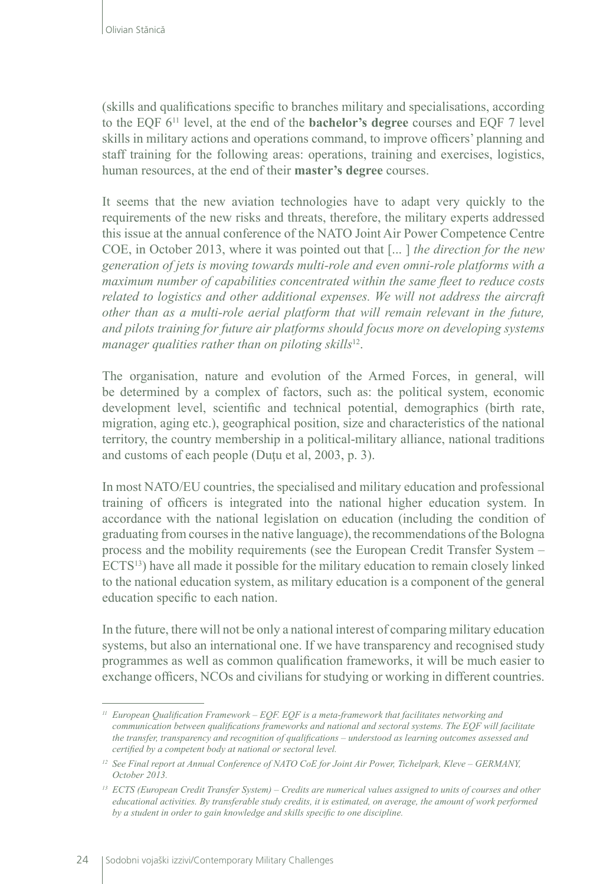(skills and qualifications specific to branches military and specialisations, according to the EQF 611 level, at the end of the **bachelor's degree** courses and EQF 7 level skills in military actions and operations command, to improve officers' planning and staff training for the following areas: operations, training and exercises, logistics, human resources, at the end of their **master's degree** courses.

It seems that the new aviation technologies have to adapt very quickly to the requirements of the new risks and threats, therefore, the military experts addressed this issue at the annual conference of the NATO Joint Air Power Competence Centre COE, in October 2013, where it was pointed out that [... ] *the direction for the new generation of jets is moving towards multi-role and even omni-role platforms with a maximum number of capabilities concentrated within the same fleet to reduce costs related to logistics and other additional expenses. We will not address the aircraft other than as a multi-role aerial platform that will remain relevant in the future, and pilots training for future air platforms should focus more on developing systems manager qualities rather than on piloting skills*12.

The organisation, nature and evolution of the Armed Forces, in general, will be determined by a complex of factors, such as: the political system, economic development level, scientific and technical potential, demographics (birth rate, migration, aging etc.), geographical position, size and characteristics of the national territory, the country membership in a political-military alliance, national traditions and customs of each people (Duţu et al, 2003, p. 3).

In most NATO/EU countries, the specialised and military education and professional training of officers is integrated into the national higher education system. In accordance with the national legislation on education (including the condition of graduating from courses in the native language), the recommendations of the Bologna process and the mobility requirements (see the European Credit Transfer System – ECTS<sup>13</sup>) have all made it possible for the military education to remain closely linked to the national education system, as military education is a component of the general education specific to each nation.

In the future, there will not be only a national interest of comparing military education systems, but also an international one. If we have transparency and recognised study programmes as well as common qualification frameworks, it will be much easier to exchange officers, NCOs and civilians for studying or working in different countries.

*<sup>11</sup> European Qualification Framework – EQF. EQF is a meta-framework that facilitates networking and communication between qualifications frameworks and national and sectoral systems. The EQF will facilitate the transfer, transparency and recognition of qualifications – understood as learning outcomes assessed and certified by a competent body at national or sectoral level.*

<sup>&</sup>lt;sup>12</sup> See Final report at Annual Conference of NATO CoE for Joint Air Power, Tichelpark, Kleve – GERMANY, *October 2013.*

*<sup>13</sup> ECTS (European Credit Transfer System) – Credits are numerical values assigned to units of courses and other educational activities. By transferable study credits, it is estimated, on average, the amount of work performed by a student in order to gain knowledge and skills specific to one discipline.*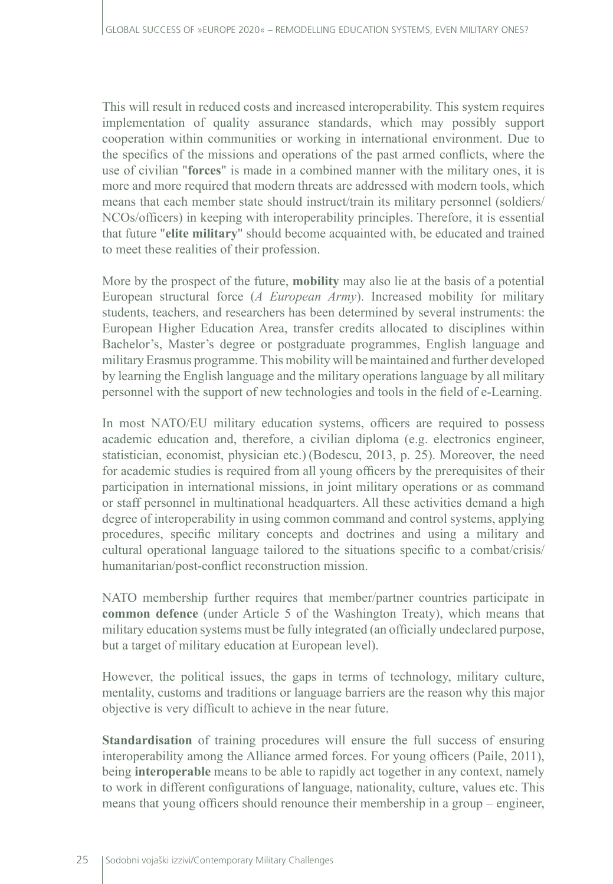This will result in reduced costs and increased interoperability. This system requires implementation of quality assurance standards, which may possibly support cooperation within communities or working in international environment. Due to the specifics of the missions and operations of the past armed conflicts, where the use of civilian "**forces**" is made in a combined manner with the military ones, it is more and more required that modern threats are addressed with modern tools, which means that each member state should instruct/train its military personnel (soldiers/ NCOs/officers) in keeping with interoperability principles. Therefore, it is essential that future "**elite military**" should become acquainted with, be educated and trained to meet these realities of their profession.

More by the prospect of the future, **mobility** may also lie at the basis of a potential European structural force (*A European Army*). Increased mobility for military students, teachers, and researchers has been determined by several instruments: the European Higher Education Area, transfer credits allocated to disciplines within Bachelor's, Master's degree or postgraduate programmes, English language and military Erasmus programme. This mobility will be maintained and further developed by learning the English language and the military operations language by all military personnel with the support of new technologies and tools in the field of e-Learning.

In most NATO/EU military education systems, officers are required to possess academic education and, therefore, a civilian diploma (e.g. electronics engineer, statistician, economist, physician etc.) (Bodescu, 2013, p. 25). Moreover, the need for academic studies is required from all young officers by the prerequisites of their participation in international missions, in joint military operations or as command or staff personnel in multinational headquarters. All these activities demand a high degree of interoperability in using common command and control systems, applying procedures, specific military concepts and doctrines and using a military and cultural operational language tailored to the situations specific to a combat/crisis/ humanitarian/post-conflict reconstruction mission.

NATO membership further requires that member/partner countries participate in **common defence** (under Article 5 of the Washington Treaty), which means that military education systems must be fully integrated (an officially undeclared purpose, but a target of military education at European level).

However, the political issues, the gaps in terms of technology, military culture, mentality, customs and traditions or language barriers are the reason why this major objective is very difficult to achieve in the near future.

**Standardisation** of training procedures will ensure the full success of ensuring interoperability among the Alliance armed forces. For young officers (Paile, 2011), being **interoperable** means to be able to rapidly act together in any context, namely to work in different configurations of language, nationality, culture, values etc. This means that young officers should renounce their membership in a group – engineer,